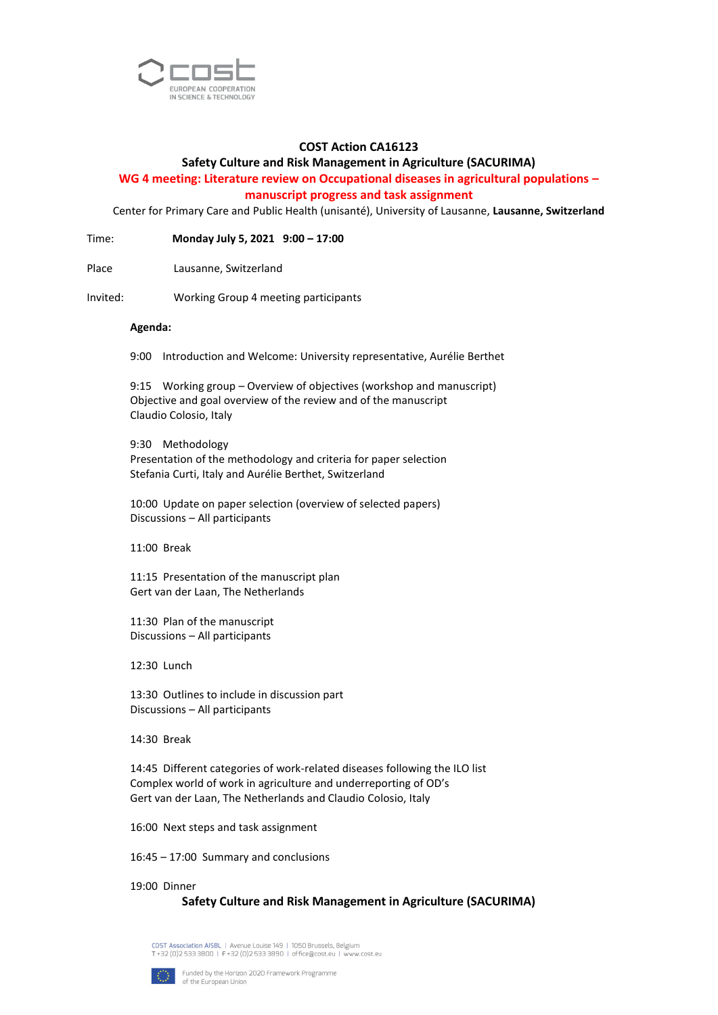

## **COST Action CA16123**

## **Safety Culture and Risk Management in Agriculture (SACURIMA)**

# **WG 4 meeting: Literature review on Occupational diseases in agricultural populations – manuscript progress and task assignment**

Center for Primary Care and Public Health (unisanté), University of Lausanne, **Lausanne, Switzerland**

Time: **Monday July 5, 2021 9:00 – 17:00**

Place Lausanne, Switzerland

Invited: Working Group 4 meeting participants

#### **Agenda:**

9:00 Introduction and Welcome: University representative, Aurélie Berthet

9:15 Working group – Overview of objectives (workshop and manuscript) Objective and goal overview of the review and of the manuscript Claudio Colosio, Italy

9:30 Methodology Presentation of the methodology and criteria for paper selection Stefania Curti, Italy and Aurélie Berthet, Switzerland

10:00 Update on paper selection (overview of selected papers) Discussions – All participants

11:00 Break

11:15 Presentation of the manuscript plan Gert van der Laan, The Netherlands

11:30 Plan of the manuscript Discussions – All participants

12:30 Lunch

13:30 Outlines to include in discussion part Discussions – All participants

14:30 Break

14:45 Different categories of work-related diseases following the ILO list Complex world of work in agriculture and underreporting of OD's Gert van der Laan, The Netherlands and Claudio Colosio, Italy

16:00 Next steps and task assignment

16:45 – 17:00 Summary and conclusions

19:00 Dinner

### **Safety Culture and Risk Management in Agriculture (SACURIMA)**

COST Association AISBL | Avenue Louise 149 | 1050 Brussels, Belgium T +32 (0)2 533 3800 | F +32 (0)2 533 3890 | office@cost.eu | \ .<br>ww.cost.eu